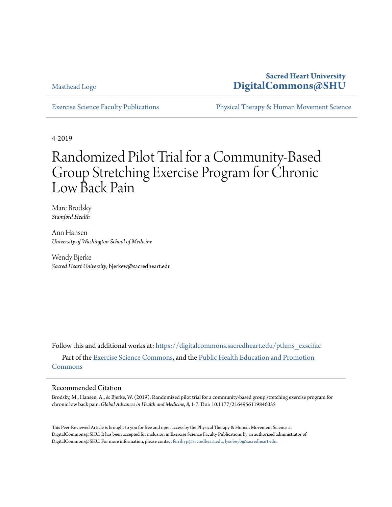[Masthead Logo](http://digitalcommons.sacredheart.edu/?utm_source=digitalcommons.sacredheart.edu%2Fpthms_exscifac%2F34&utm_medium=PDF&utm_campaign=PDFCoverPages)

## **Sacred Heart University [DigitalCommons@SHU](https://digitalcommons.sacredheart.edu?utm_source=digitalcommons.sacredheart.edu%2Fpthms_exscifac%2F34&utm_medium=PDF&utm_campaign=PDFCoverPages)**

[Exercise Science Faculty Publications](https://digitalcommons.sacredheart.edu/pthms_exscifac?utm_source=digitalcommons.sacredheart.edu%2Fpthms_exscifac%2F34&utm_medium=PDF&utm_campaign=PDFCoverPages) [Physical Therapy & Human Movement Science](https://digitalcommons.sacredheart.edu/pthms?utm_source=digitalcommons.sacredheart.edu%2Fpthms_exscifac%2F34&utm_medium=PDF&utm_campaign=PDFCoverPages)

4-2019

# Randomized Pilot Trial for a Community-Based Group Stretching Exercise Program for Chronic Low Back Pain

Marc Brodsky *Stamford Health*

Ann Hansen *University of Washington School of Medicine*

Wendy Bjerke *Sacred Heart University*, bjerkew@sacredheart.edu

Follow this and additional works at: [https://digitalcommons.sacredheart.edu/pthms\\_exscifac](https://digitalcommons.sacredheart.edu/pthms_exscifac?utm_source=digitalcommons.sacredheart.edu%2Fpthms_exscifac%2F34&utm_medium=PDF&utm_campaign=PDFCoverPages) Part of the [Exercise Science Commons,](http://network.bepress.com/hgg/discipline/1091?utm_source=digitalcommons.sacredheart.edu%2Fpthms_exscifac%2F34&utm_medium=PDF&utm_campaign=PDFCoverPages) and the [Public Health Education and Promotion](http://network.bepress.com/hgg/discipline/743?utm_source=digitalcommons.sacredheart.edu%2Fpthms_exscifac%2F34&utm_medium=PDF&utm_campaign=PDFCoverPages) [Commons](http://network.bepress.com/hgg/discipline/743?utm_source=digitalcommons.sacredheart.edu%2Fpthms_exscifac%2F34&utm_medium=PDF&utm_campaign=PDFCoverPages)

#### Recommended Citation

Brodsky, M., Hansen, A., & Bjerke, W. (2019). Randomized pilot trial for a community-based group stretching exercise program for chronic low back pain. *Global Advances in Health and Medicine*, *8,* 1-7*.* Doi: 10.1177/2164956119846055

This Peer-Reviewed Article is brought to you for free and open access by the Physical Therapy & Human Movement Science at DigitalCommons@SHU. It has been accepted for inclusion in Exercise Science Faculty Publications by an authorized administrator of DigitalCommons@SHU. For more information, please contact [ferribyp@sacredheart.edu, lysobeyb@sacredheart.edu.](mailto:ferribyp@sacredheart.edu,%20lysobeyb@sacredheart.edu)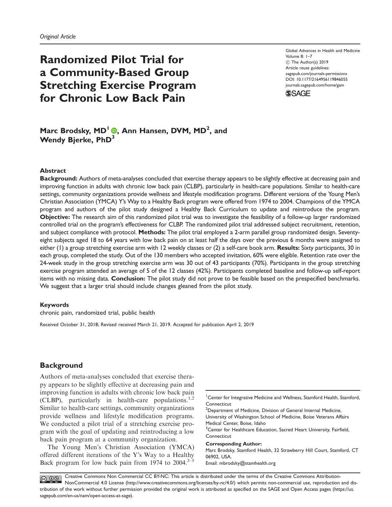# Randomized Pilot Trial for a Community-Based Group Stretching Exercise Program for Chronic Low Back Pain

Global Advances in Health and Medicine Volume 8: 1–7  $\circledcirc$  The Author(s) 2019 Article reuse guidelines: [sagepub.com/journals-permissions](http://us.sagepub.com/en-us/journals-permissions) [DOI: 10.1177/2164956119846055](http://dx.doi.org/10.1177/2164956119846055) <journals.sagepub.com/home/gam>



### Marc Brodsky, MD<sup>I</sup> (0, Ann Hansen, DVM, MD<sup>2</sup>, and Wendy Bierke, PhD<sup>3</sup>

#### **Abstract**

Background: Authors of meta-analyses concluded that exercise therapy appears to be slightly effective at decreasing pain and improving function in adults with chronic low back pain (CLBP), particularly in health-care populations. Similar to health-care settings, community organizations provide wellness and lifestyle modification programs. Different versions of the Young Men's Christian Association (YMCA) Y's Way to a Healthy Back program were offered from 1974 to 2004. Champions of the YMCA program and authors of the pilot study designed a Healthy Back Curriculum to update and reintroduce the program. Objective: The research aim of this randomized pilot trial was to investigate the feasibility of a follow-up larger randomized controlled trial on the program's effectiveness for CLBP. The randomized pilot trial addressed subject recruitment, retention, and subject compliance with protocol. Methods: The pilot trial employed a 2-arm parallel group randomized design. Seventyeight subjects aged 18 to 64 years with low back pain on at least half the days over the previous 6 months were assigned to either (1) a group stretching exercise arm with 12 weekly classes or (2) a self-care book arm. Results: Sixty participants, 30 in each group, completed the study. Out of the 130 members who accepted invitation, 60% were eligible. Retention rate over the 24-week study in the group stretching exercise arm was 30 out of 43 participants (70%). Participants in the group stretching exercise program attended an average of 5 of the 12 classes (42%). Participants completed baseline and follow-up self-report items with no missing data. Conclusion: The pilot study did not prove to be feasible based on the prespecified benchmarks. We suggest that a larger trial should include changes gleaned from the pilot study.

#### Keywords

chronic pain, randomized trial, public health

Received October 31, 2018; Revised received March 21, 2019. Accepted for publication April 2, 2019

#### **Background**

Authors of meta-analyses concluded that exercise therapy appears to be slightly effective at decreasing pain and improving function in adults with chronic low back pain (CLBP), particularly in health-care populations.<sup>1,2</sup> Similar to health-care settings, community organizations provide wellness and lifestyle modification programs. We conducted a pilot trial of a stretching exercise program with the goal of updating and reintroducing a low back pain program at a community organization.

The Young Men's Christian Association (YMCA) offered different iterations of the Y's Way to a Healthy Back program for low back pain from 1974 to  $2004$ .<sup>3–5</sup>

<sup>2</sup>Department of Medicine, Division of General Internal Medicine, University of Washington School of Medicine, Boise Veterans Affairs Medical Center, Boise, Idaho <sup>3</sup> Center for Healthcare Education, Sacred Heart University, Fairfield,

Connecticut

Corresponding Author:

Marc Brodsky, Stamford Health, 32 Strawberry Hill Court, Stamford, CT 06902, USA.

Email: [mbrodsky@stamhealth.org](mailto:mbrodsky@stamhealth.org)

Creative Commons Non Commercial CC BY-NC: This article is distributed under the terms of the Creative Commons Attribution-**@ 09** NonCommercial 4.0 License (http://www.creativecommons.org/licenses/by-nc/4.0/) which permits non-commercial use, reproduction and distribution of the work without further permission provided the original work is attributed as specified on the SAGE and Open Access pages (https://us. sagepub.com/en-us/nam/open-access-at-sage).

<sup>&</sup>lt;sup>1</sup> Center for Integrative Medicine and Wellness, Stamford Health, Stamford, **Connecticut**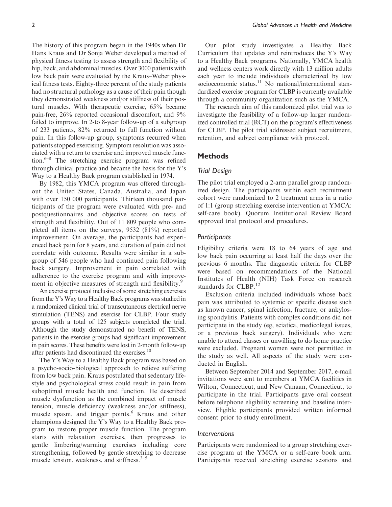The history of this program began in the 1940s when Dr Hans Kraus and Dr Sonja Weber developed a method of physical fitness testing to assess strength and flexibility of hip, back, and abdominal muscles. Over 3000 patients with low back pain were evaluated by the Kraus–Weber physical fitness tests. Eighty-three percent of the study patients had no structural pathology as a cause of their pain though they demonstrated weakness and/or stiffness of their postural muscles. With therapeutic exercise, 65% became pain-free, 26% reported occasional discomfort, and 9% failed to improve. In 2-to 8-year follow-up of a subgroup of 233 patients, 82% returned to full function without pain. In this follow-up group, symptoms recurred when patients stopped exercising. Symptom resolution was associated with a return to exercise and improved muscle function.<sup>6–8</sup> The stretching exercise program was refined through clinical practice and became the basis for the Y's Way to a Healthy Back program established in 1974.

By 1982, this YMCA program was offered throughout the United States, Canada, Australia, and Japan with over 150 000 participants. Thirteen thousand participants of the program were evaluated with pre- and postquestionnaires and objective scores on tests of strength and flexibility. Out of 11 809 people who completed all items on the surveys, 9532 (81%) reported improvement. On average, the participants had experienced back pain for 8 years, and duration of pain did not correlate with outcome. Results were similar in a subgroup of 546 people who had continued pain following back surgery. Improvement in pain correlated with adherence to the exercise program and with improvement in objective measures of strength and flexibility.<sup>9</sup>

An exercise protocol inclusive of some stretching exercises from the Y'sWay to a Healthy Back programs was studied in a randomized clinical trial of transcutaneous electrical nerve stimulation (TENS) and exercise for CLBP. Four study groups with a total of 125 subjects completed the trial. Although the study demonstrated no benefit of TENS, patients in the exercise groups had significant improvement in pain scores. These benefits were lost in 2-month follow-up after patients had discontinued the exercises.<sup>10</sup>

The Y's Way to a Healthy Back program was based on a psycho-socio-biological approach to relieve suffering from low back pain. Kraus postulated that sedentary lifestyle and psychological stress could result in pain from suboptimal muscle health and function. He described muscle dysfunction as the combined impact of muscle tension, muscle deficiency (weakness and/or stiffness), muscle spasm, and trigger points.<sup>6</sup> Kraus and other champions designed the Y's Way to a Healthy Back program to restore proper muscle function. The program starts with relaxation exercises, then progresses to gentle limbering/warming exercises including core strengthening, followed by gentle stretching to decrease muscle tension, weakness, and stiffness. $3-5$ 

Our pilot study investigates a Healthy Back Curriculum that updates and reintroduces the Y's Way to a Healthy Back programs. Nationally, YMCA health and wellness centers work directly with 13 million adults each year to include individuals characterized by low socioeconomic status.<sup>11</sup> No national/international standardized exercise program for CLBP is currently available through a community organization such as the YMCA.

The research aim of this randomized pilot trial was to investigate the feasibility of a follow-up larger randomized controlled trial (RCT) on the program's effectiveness for CLBP. The pilot trial addressed subject recruitment, retention, and subject compliance with protocol.

#### Methods

#### Trial Design

The pilot trial employed a 2-arm parallel group randomized design. The participants within each recruitment cohort were randomized to 2 treatment arms in a ratio of 1:1 (group stretching exercise intervention at YMCA: self-care book). Quorum Institutional Review Board approved trial protocol and procedures.

#### **Participants**

Eligibility criteria were 18 to 64 years of age and low back pain occurring at least half the days over the previous 6 months. The diagnostic criteria for CLBP were based on recommendations of the National Institutes of Health (NIH) Task Force on research standards for CLBP.<sup>12</sup>

Exclusion criteria included individuals whose back pain was attributed to systemic or specific disease such as known cancer, spinal infection, fracture, or ankylosing spondylitis. Patients with complex conditions did not participate in the study (eg, sciatica, medicolegal issues, or a previous back surgery). Individuals who were unable to attend classes or unwilling to do home practice were excluded. Pregnant women were not permitted in the study as well. All aspects of the study were conducted in English.

Between September 2014 and September 2017, e-mail invitations were sent to members at YMCA facilities in Wilton, Connecticut, and New Canaan, Connecticut, to participate in the trial. Participants gave oral consent before telephone eligibility screening and baseline interview. Eligible participants provided written informed consent prior to study enrollment.

#### Interventions

Participants were randomized to a group stretching exercise program at the YMCA or a self-care book arm. Participants received stretching exercise sessions and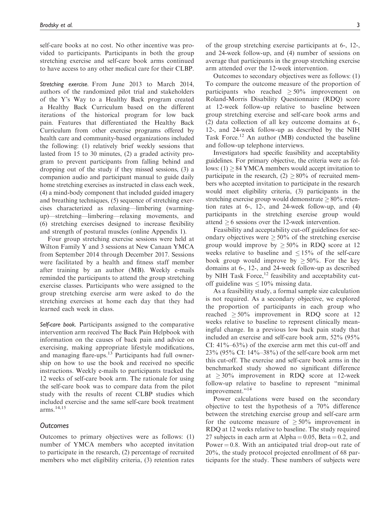self-care books at no cost. No other incentive was provided to participants. Participants in both the group stretching exercise and self-care book arms continued to have access to any other medical care for their CLBP.

Stretching exercise. From June 2013 to March 2014, authors of the randomized pilot trial and stakeholders of the Y's Way to a Healthy Back program created a Healthy Back Curriculum based on the different iterations of the historical program for low back pain. Features that differentiated the Healthy Back Curriculum from other exercise programs offered by health care and community-based organizations included the following: (1) relatively brief weekly sessions that lasted from 15 to 30 minutes, (2) a graded activity program to prevent participants from falling behind and dropping out of the study if they missed sessions, (3) a companion audio and participant manual to guide daily home stretching exercises as instructed in class each week, (4) a mind-body component that included guided imagery and breathing techniques, (5) sequence of stretching exercises characterized as relaxing—limbering (warmingup)—stretching—limbering—relaxing movements, and (6) stretching exercises designed to increase flexibility and strength of postural muscles (online Appendix 1).

Four group stretching exercise sessions were held at Wilton Family Y and 3 sessions at New Canaan YMCA from September 2014 through December 2017. Sessions were facilitated by a health and fitness staff member after training by an author (MB). Weekly e-mails reminded the participants to attend the group stretching exercise classes. Participants who were assigned to the group stretching exercise arm were asked to do the stretching exercises at home each day that they had learned each week in class.

Self-care book. Participants assigned to the comparative intervention arm received The Back Pain Helpbook with information on the causes of back pain and advice on exercising, making appropriate lifestyle modifications, and managing flare-ups.<sup>13</sup> Participants had full ownership on how to use the book and received no specific instructions. Weekly e-mails to participants tracked the 12 weeks of self-care book arm. The rationale for using the self-care book was to compare data from the pilot study with the results of recent CLBP studies which included exercise and the same self-care book treatment arms.14,15

#### **Outcomes**

Outcomes to primary objectives were as follows: (1) number of YMCA members who accepted invitation to participate in the research, (2) percentage of recruited members who met eligibility criteria, (3) retention rates

of the group stretching exercise participants at 6-, 12-, and 24-week follow-up, and (4) number of sessions on average that participants in the group stretching exercise arm attended over the 12-week intervention.

Outcomes to secondary objectives were as follows: (1) To compare the outcome measure of the proportion of participants who reached  $\geq 50\%$  improvement on Roland-Morris Disability Questionnaire (RDQ) score at 12-week follow-up relative to baseline between group stretching exercise and self-care book arms and (2) data collection of all key outcome domains at 6-, 12-, and 24-week follow-up as described by the NIH Task Force.<sup>12</sup> An author (MB) conducted the baseline and follow-up telephone interviews.

Investigators had specific feasibility and acceptability guidelines. For primary objective, the criteria were as follows:  $(1) \geq 84$  YMCA members would accept invitation to participate in the research,  $(2) \ge 80\%$  of recruited members who accepted invitation to participate in the research would meet eligibility criteria, (3) participants in the stretching exercise group would demonstrate  $> 80\%$  retention rates at 6-, 12-, and 24-week follow-up, and (4) participants in the stretching exercise group would attend  $\geq 6$  sessions over the 12-week intervention.

Feasibility and acceptability cut-off guidelines for secondary objectives were  $\geq 50\%$  of the stretching exercise group would improve by  $\geq 50\%$  in RDQ score at 12 weeks relative to baseline and  $\leq 15\%$  of the self-care book group would improve by  $\geq 50\%$ . For the key domains at 6-, 12-, and 24-week follow-up as described by NIH Task Force, $12$  feasibility and acceptability cutoff guideline was  $\leq 10\%$  missing data.

As a feasibility study, a formal sample size calculation is not required. As a secondary objective, we explored the proportion of participants in each group who reached  $>50\%$  improvement in RDQ score at 12 weeks relative to baseline to represent clinically meaningful change. In a previous low back pain study that included an exercise and self-care book arm, 52% (95% CI:  $41\% - 63\%$ ) of the exercise arm met this cut-off and 23% (95% CI: 14%–38%) of the self-care book arm met this cut-off. The exercise and self-care book arms in the benchmarked study showed no significant difference at  $\geq$  30% improvement in RDQ score at 12-week follow-up relative to baseline to represent "minimal improvement."<sup>14</sup>

Power calculations were based on the secondary objective to test the hypothesis of a 70% difference between the stretching exercise group and self-care arm for the outcome measure of  $\geq 50\%$  improvement in RDQ at 12 weeks relative to baseline. The study required 27 subjects in each arm at Alpha  $= 0.05$ , Beta  $= 0.2$ , and Power  $= 0.8$ . With an anticipated trial drop-out rate of 20%, the study protocol projected enrollment of 68 participants for the study. These numbers of subjects were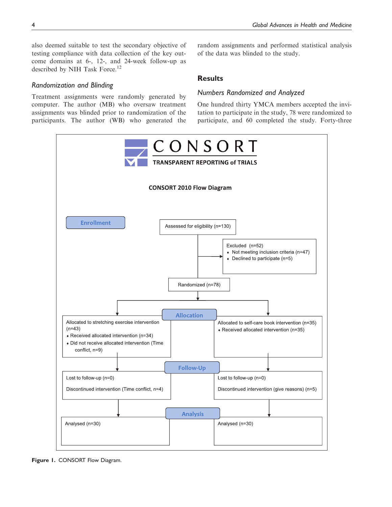also deemed suitable to test the secondary objective of testing compliance with data collection of the key outcome domains at 6-, 12-, and 24-week follow-up as described by NIH Task Force.<sup>12</sup>

#### Randomization and Blinding

Treatment assignments were randomly generated by computer. The author (MB) who oversaw treatment assignments was blinded prior to randomization of the participants. The author (WB) who generated the

random assignments and performed statistical analysis of the data was blinded to the study.

#### Results

#### Numbers Randomized and Analyzed

One hundred thirty YMCA members accepted the invitation to participate in the study, 78 were randomized to participate, and 60 completed the study. Forty-three



Figure 1. CONSORT Flow Diagram.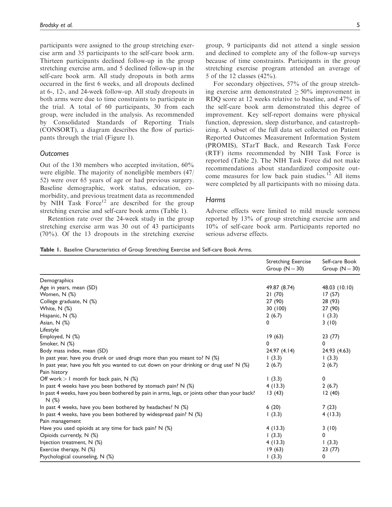participants were assigned to the group stretching exercise arm and 35 participants to the self-care book arm. Thirteen participants declined follow-up in the group stretching exercise arm, and 5 declined follow-up in the self-care book arm. All study dropouts in both arms occurred in the first 6 weeks, and all dropouts declined at 6-, 12-, and 24-week follow-up. All study dropouts in both arms were due to time constraints to participate in the trial. A total of 60 participants, 30 from each group, were included in the analysis. As recommended by Consolidated Standards of Reporting Trials (CONSORT), a diagram describes the flow of participants through the trial (Figure 1).

#### **Outcomes**

Out of the 130 members who accepted invitation, 60% were eligible. The majority of noneligible members (47/ 52) were over 65 years of age or had previous surgery. Baseline demographic, work status, education, comorbidity, and previous treatment data as recommended by NIH Task Force<sup>12</sup> are described for the group stretching exercise and self-care book arms (Table 1).

Retention rate over the 24-week study in the group stretching exercise arm was 30 out of 43 participants (70%). Of the 13 dropouts in the stretching exercise

For secondary objectives, 57% of the group stretching exercise arm demonstrated  $\geq 50\%$  improvement in RDQ score at 12 weeks relative to baseline, and 47% of the self-care book arm demonstrated this degree of improvement. Key self-report domains were physical function, depression, sleep disturbance, and catastrophizing. A subset of the full data set collected on Patient Reported Outcomes Measurement Information System (PROMIS), STarT Back, and Research Task Force (RTF) items recommended by NIH Task Force is reported (Table 2). The NIH Task Force did not make recommendations about standardized composite outcome measures for low back pain studies.<sup>12</sup> All items were completed by all participants with no missing data.

#### **Harms**

Adverse effects were limited to mild muscle soreness reported by 13% of group stretching exercise arm and 10% of self-care book arm. Participants reported no serious adverse effects.

|  |  |  | Table I. Baseline Characteristics of Group Stretching Exercise and Self-care Book Arms. |  |  |  |  |  |  |  |  |
|--|--|--|-----------------------------------------------------------------------------------------|--|--|--|--|--|--|--|--|
|--|--|--|-----------------------------------------------------------------------------------------|--|--|--|--|--|--|--|--|

|                                                                                                        | <b>Stretching Exercise</b><br>Group $(N = 30)$ | Self-care Book<br>Group $(N = 30)$ |
|--------------------------------------------------------------------------------------------------------|------------------------------------------------|------------------------------------|
| Demographics                                                                                           |                                                |                                    |
| Age in years, mean (SD)                                                                                | 49.87 (8.74)                                   | 48.03 (10.10)                      |
| Women, N (%)                                                                                           | 21(70)                                         | 17(57)                             |
| College graduate, N (%)                                                                                | 27 (90)                                        | 28 (93)                            |
| White, N (%)                                                                                           | 30 (100)                                       | 27 (90)                            |
| Hispanic, N (%)                                                                                        | 2(6.7)                                         | (3.3)                              |
| Asian, $N$ $(\%)$                                                                                      | 0                                              | 3(10)                              |
| Lifestyle                                                                                              |                                                |                                    |
| Employed, N (%)                                                                                        | 19(63)                                         | 23(77)                             |
| Smoker, N (%)                                                                                          | 0                                              | 0                                  |
| Body mass index, mean (SD)                                                                             | 24.97(4.14)                                    | 24.93 (4.63)                       |
| In past year, have you drunk or used drugs more than you meant to? N (%)                               | 1(3.3)                                         | 1(3.3)                             |
| In past year, have you felt you wanted to cut down on your drinking or drug use? N (%)                 | 2(6.7)                                         | 2(6.7)                             |
| Pain history                                                                                           |                                                |                                    |
| Off work $> 1$ month for back pain, N $(\%)$                                                           | (3.3)                                          | 0                                  |
| In past 4 weeks have you been bothered by stomach pain? N (%)                                          | 4(13.3)                                        | 2(6.7)                             |
| In past 4 weeks, have you been bothered by pain in arms, legs, or joints other than your back?<br>N(%) | 13(43)                                         | 12(40)                             |
| In past 4 weeks, have you been bothered by headaches? $N$ (%)                                          | 6(20)                                          | 7(23)                              |
| In past 4 weeks, have you been bothered by widespread pain? N (%)                                      | 1(3.3)                                         | 4(13.3)                            |
| Pain management                                                                                        |                                                |                                    |
| Have you used opioids at any time for back pain? $N$ (%)                                               | 4(13.3)                                        | 3(10)                              |
| Opioids currently, N (%)                                                                               | (3.3)                                          | 0                                  |
| Injection treatment, $N$ (%)                                                                           | 4(13.3)                                        | 1(3.3)                             |
| Exercise therapy, N (%)                                                                                | 19(63)                                         | 23(77)                             |
| Psychological counseling, N (%)                                                                        | 1(3.3)                                         | 0                                  |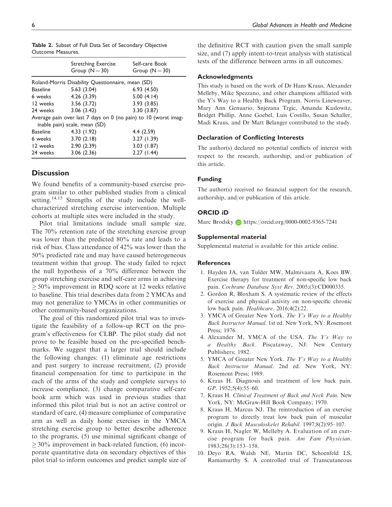|          | <b>Stretching Exercise</b><br>Group $(N = 30)$    | Self-care Book<br>Group $(N = 30)$                              |
|----------|---------------------------------------------------|-----------------------------------------------------------------|
|          | Roland-Morris Disability Questionnaire, mean (SD) |                                                                 |
| Baseline | 5.63(3.04)                                        | 6.93(4.50)                                                      |
| 6 weeks  | 4.26(3.39)                                        | 5.00(4.14)                                                      |
| 12 weeks | 3.56(3.72)                                        | 3.93(3.85)                                                      |
| 24 weeks | 3.06(3.42)                                        | 3.30(3.87)                                                      |
|          | inable pain) scale, mean (SD)                     | Average pain over last 7 days on 0 (no pain) to 10 (worst imag- |
| Baseline | 4.33(1.92)                                        | 4.4(2.59)                                                       |
| 6 weeks  | 3.70(2.18)                                        | 3.27 (1.39)                                                     |
| 12 weeks | 2.90(2.39)                                        | 3.03(1.87)                                                      |
| 24 weeks | 3.06(2.36)                                        | 2.27(1.44)                                                      |

Table 2. Subset of Full Data Set of Secondary Objective Outcome Measures.

#### **Discussion**

We found benefits of a community-based exercise program similar to other published studies from a clinical setting.<sup>14,15</sup> Strengths of the study include the wellcharacterized stretching exercise intervention. Multiple cohorts at multiple sites were included in the study.

Pilot trial limitations include small sample size. The 70% retention rate of the stretching exercise group was lower than the predicted 80% rate and leads to a risk of bias. Class attendance of 42% was lower than the 50% predicted rate and may have caused heterogeneous treatment within that group. The study failed to reject the null hypothesis of a 70% difference between the group stretching exercise and self-care arms in achieving  $>$  50% improvement in RDQ score at 12 weeks relative to baseline. This trial describes data from 2 YMCAs and may not generalize to YMCAs in other communities or other community-based organizations.

The goal of this randomized pilot trial was to investigate the feasibility of a follow-up RCT on the program's effectiveness for CLBP. The pilot study did not prove to be feasible based on the pre-specified benchmarks. We suggest that a larger trial should include the following changes: (1) eliminate age restrictions and past surgery to increase recruitment, (2) provide financial compensation for time to participate in the each of the arms of the study and complete surveys to increase compliance, (3) change comparative self-care book arm which was used in previous studies that informed this pilot trial but is not an active control or standard of care, (4) measure compliance of comparative arm as well as daily home exercises in the YMCA stretching exercise group to better describe adherence to the programs, (5) use minimal significant change of  $>$  30% improvement in back-related function, (6) incorporate quantitative data on secondary objectives of this pilot trial to inform outcomes and predict sample size of the definitive RCT with caution given the small sample size, and (7) apply intent-to-treat analysis with statistical tests of the difference between arms in all outcomes.

#### Acknowledgments

This study is based on the work of Dr Hans Kraus, Alexander Melleby, Mike Spezzano, and other champions affiliated with the Y's Way to a Healthy Back Program. Norris Lineweaver, Mary Ann Genuario, Snjezana Trgic, Amanda Kaslowitz, Bridget Phillip, Anne Goebel, Luis Costillo, Susan Schaller, Madi Kraus, and Dr Matt Belanger contributed to the study.

#### Declaration of Conflicting Interests

The author(s) declared no potential conflicts of interest with respect to the research, authorship, and/or publication of this article.

#### Funding

The author(s) received no financial support for the research, authorship, and/or publication of this article.

#### ORCID iD

Marc Brodsky **b** <https://orcid.org/0000-0002-9365-7241>

#### Supplemental material

Supplemental material is available for this article online.

#### **References**

- 1. Hayden JA, van Tulder MW, Malmivaara A, Koes BW. Exercise therapy for treatment of non-specific low back pain. Cochrane Database Syst Rev. 2005;(3):CD000335.
- 2. Gordon R, Bloxham S. A systematic review of the effects of exercise and physical activity on non-specific chronic low back pain. Healthcare. 2016;4(2):22.
- 3. YMCA of Greater New York. The Y's Way to a Healthy Back Instructor Manual. 1st ed. New York, NY: Rosemont Press; 1976.
- 4. Alexander M, YMCA of the USA. The Y's Way to a Healthy Back. Piscataway, NJ: New Century Publishers; 1982.
- 5. YMCA of Greater New York. The Y's Way to a Healthy Back Instructor Manual. 2nd ed. New York, NY: Rosemont Press; 1989.
- 6. Kraus H. Diagnosis and treatment of low back pain. GP. 1952;5(4):55–60.
- 7. Kraus H. Clinical Treatment of Back and Neck Pain. New York, NY: McGraw-Hill Book Company; 1970.
- 8. Kraus H, Marcus NJ. The reintroduction of an exercise program to directly treat low back pain of muscular origin. J Back Musculoskelet Rehabil. 1997;8(2):95–107.
- 9. Kraus H, Nagler W, Melleby A. Evaluation of an exercise program for back pain. Am Fam Physician. 1983;28(3):153–158.
- 10. Deyo RA, Walsh NE, Martin DC, Schoenfeld LS, Ramamurthy S. A controlled trial of Transcutaneous